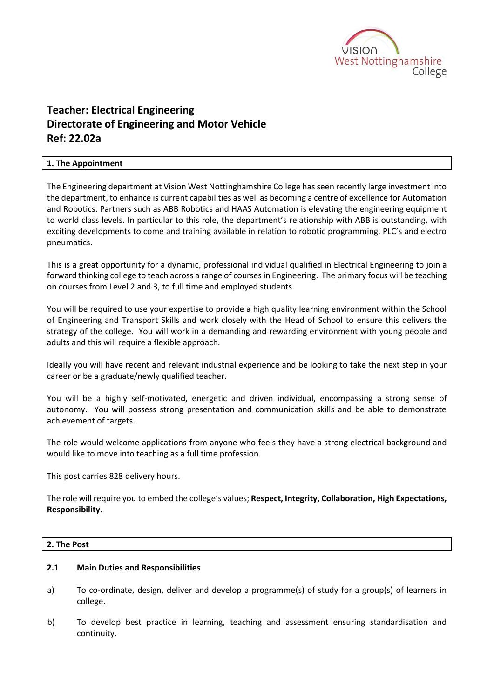

# **Teacher: Electrical Engineering Directorate of Engineering and Motor Vehicle Ref: 22.02a**

## **1. The Appointment**

The Engineering department at Vision West Nottinghamshire College has seen recently large investment into the department, to enhance is current capabilities as well as becoming a centre of excellence for Automation and Robotics. Partners such as ABB Robotics and HAAS Automation is elevating the engineering equipment to world class levels. In particular to this role, the department's relationship with ABB is outstanding, with exciting developments to come and training available in relation to robotic programming, PLC's and electro pneumatics.

This is a great opportunity for a dynamic, professional individual qualified in Electrical Engineering to join a forward thinking college to teach across a range of courses in Engineering. The primary focus will be teaching on courses from Level 2 and 3, to full time and employed students.

You will be required to use your expertise to provide a high quality learning environment within the School of Engineering and Transport Skills and work closely with the Head of School to ensure this delivers the strategy of the college. You will work in a demanding and rewarding environment with young people and adults and this will require a flexible approach.

Ideally you will have recent and relevant industrial experience and be looking to take the next step in your career or be a graduate/newly qualified teacher.

You will be a highly self-motivated, energetic and driven individual, encompassing a strong sense of autonomy. You will possess strong presentation and communication skills and be able to demonstrate achievement of targets.

The role would welcome applications from anyone who feels they have a strong electrical background and would like to move into teaching as a full time profession.

This post carries 828 delivery hours.

The role will require you to embed the college's values; **Respect, Integrity, Collaboration, High Expectations, Responsibility.** 

#### **2. The Post**

#### **2.1 Main Duties and Responsibilities**

- a) To co-ordinate, design, deliver and develop a programme(s) of study for a group(s) of learners in college.
- b) To develop best practice in learning, teaching and assessment ensuring standardisation and continuity.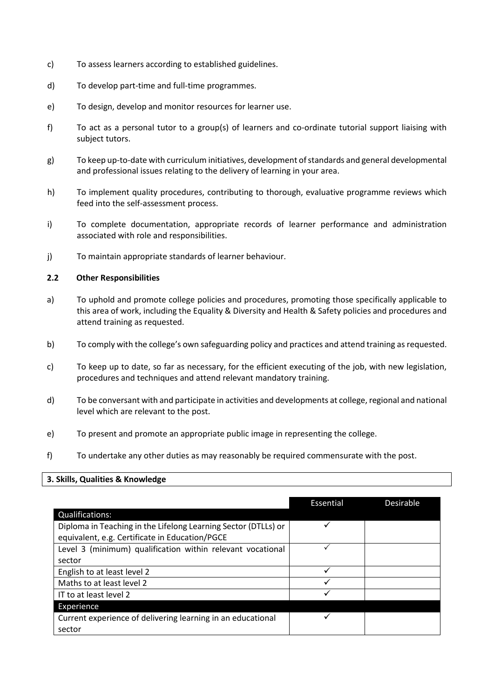- c) To assess learners according to established guidelines.
- d) To develop part-time and full-time programmes.
- e) To design, develop and monitor resources for learner use.
- f) To act as a personal tutor to a group(s) of learners and co-ordinate tutorial support liaising with subject tutors.
- g) To keep up-to-date with curriculum initiatives, development of standards and general developmental and professional issues relating to the delivery of learning in your area.
- h) To implement quality procedures, contributing to thorough, evaluative programme reviews which feed into the self-assessment process.
- i) To complete documentation, appropriate records of learner performance and administration associated with role and responsibilities.
- j) To maintain appropriate standards of learner behaviour.

#### **2.2 Other Responsibilities**

- a) To uphold and promote college policies and procedures, promoting those specifically applicable to this area of work, including the Equality & Diversity and Health & Safety policies and procedures and attend training as requested.
- b) To comply with the college's own safeguarding policy and practices and attend training as requested.
- c) To keep up to date, so far as necessary, for the efficient executing of the job, with new legislation, procedures and techniques and attend relevant mandatory training.
- d) To be conversant with and participate in activities and developments at college, regional and national level which are relevant to the post.
- e) To present and promote an appropriate public image in representing the college.
- f) To undertake any other duties as may reasonably be required commensurate with the post.

## **3. Skills, Qualities & Knowledge**

| <b>Qualifications:</b>                                                                                           | Essential | Desirable |
|------------------------------------------------------------------------------------------------------------------|-----------|-----------|
| Diploma in Teaching in the Lifelong Learning Sector (DTLLs) or<br>equivalent, e.g. Certificate in Education/PGCE |           |           |
| Level 3 (minimum) qualification within relevant vocational                                                       |           |           |
| sector                                                                                                           |           |           |
| English to at least level 2                                                                                      |           |           |
| Maths to at least level 2                                                                                        |           |           |
| IT to at least level 2                                                                                           |           |           |
| Experience                                                                                                       |           |           |
| Current experience of delivering learning in an educational<br>sector                                            |           |           |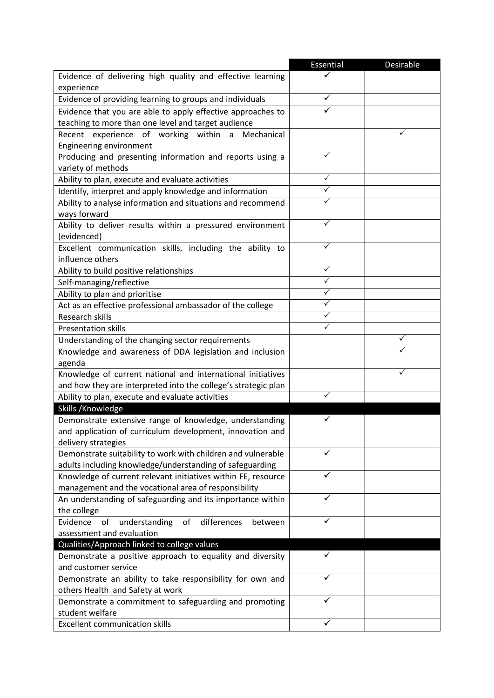|                                                                                              | <b>Essential</b> | <b>Desirable</b> |
|----------------------------------------------------------------------------------------------|------------------|------------------|
| Evidence of delivering high quality and effective learning<br>experience                     |                  |                  |
| Evidence of providing learning to groups and individuals                                     |                  |                  |
| Evidence that you are able to apply effective approaches to                                  |                  |                  |
| teaching to more than one level and target audience                                          |                  |                  |
| Recent experience of working within a Mechanical                                             |                  | ✓                |
| <b>Engineering environment</b>                                                               |                  |                  |
| Producing and presenting information and reports using a                                     | ✓                |                  |
| variety of methods                                                                           |                  |                  |
| Ability to plan, execute and evaluate activities                                             | ✓                |                  |
| Identify, interpret and apply knowledge and information                                      |                  |                  |
| Ability to analyse information and situations and recommend                                  |                  |                  |
| ways forward                                                                                 |                  |                  |
| Ability to deliver results within a pressured environment                                    | ✓                |                  |
| (evidenced)                                                                                  |                  |                  |
| Excellent communication skills, including the ability to                                     |                  |                  |
| influence others                                                                             |                  |                  |
| Ability to build positive relationships                                                      | ✓                |                  |
| Self-managing/reflective                                                                     | ✓                |                  |
| Ability to plan and prioritise                                                               | $\checkmark$     |                  |
| Act as an effective professional ambassador of the college                                   |                  |                  |
| Research skills                                                                              |                  |                  |
| <b>Presentation skills</b>                                                                   |                  |                  |
| Understanding of the changing sector requirements                                            |                  |                  |
| Knowledge and awareness of DDA legislation and inclusion                                     |                  |                  |
| agenda                                                                                       |                  |                  |
| Knowledge of current national and international initiatives                                  |                  |                  |
| and how they are interpreted into the college's strategic plan                               |                  |                  |
| Ability to plan, execute and evaluate activities                                             |                  |                  |
| Skills / Knowledge                                                                           |                  |                  |
| Demonstrate extensive range of knowledge, understanding                                      |                  |                  |
| and application of curriculum development, innovation and                                    |                  |                  |
| delivery strategies                                                                          |                  |                  |
| Demonstrate suitability to work with children and vulnerable                                 |                  |                  |
| adults including knowledge/understanding of safeguarding                                     |                  |                  |
| Knowledge of current relevant initiatives within FE, resource                                |                  |                  |
| management and the vocational area of responsibility                                         |                  |                  |
| An understanding of safeguarding and its importance within                                   |                  |                  |
| the college                                                                                  |                  |                  |
| understanding<br>Evidence<br>of<br>differences<br>of<br>between<br>assessment and evaluation |                  |                  |
| Qualities/Approach linked to college values                                                  |                  |                  |
| Demonstrate a positive approach to equality and diversity                                    | ✓                |                  |
| and customer service                                                                         |                  |                  |
| Demonstrate an ability to take responsibility for own and                                    |                  |                  |
| others Health and Safety at work                                                             |                  |                  |
| Demonstrate a commitment to safeguarding and promoting                                       |                  |                  |
| student welfare                                                                              |                  |                  |
| <b>Excellent communication skills</b>                                                        | ✓                |                  |
|                                                                                              |                  |                  |